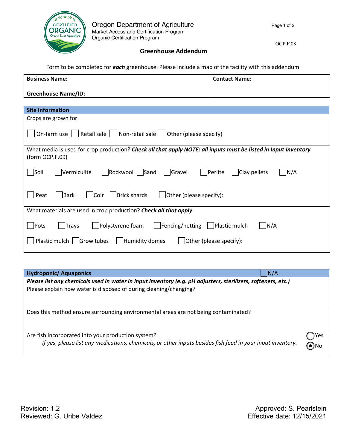

OCP.F.08

**Greenhouse Addendum**

Form to be completed for *each* greenhouse. Please include a map of the facility with this addendum.

| <b>Business Name:</b>                                                                                           | <b>Contact Name:</b>                         |  |  |
|-----------------------------------------------------------------------------------------------------------------|----------------------------------------------|--|--|
|                                                                                                                 |                                              |  |  |
| <b>Greenhouse Name/ID:</b>                                                                                      |                                              |  |  |
|                                                                                                                 |                                              |  |  |
| <b>Site Information</b>                                                                                         |                                              |  |  |
| Crops are grown for:                                                                                            |                                              |  |  |
|                                                                                                                 |                                              |  |  |
| On-farm use $\Box$ Retail sale $\Box$ Non-retail sale $\Box$ Other (please specify)                             |                                              |  |  |
|                                                                                                                 |                                              |  |  |
| What media is used for crop production? Check all that apply NOTE: all inputs must be listed in Input Inventory |                                              |  |  |
| (form OCP.F.09)                                                                                                 |                                              |  |  |
|                                                                                                                 |                                              |  |  |
| Rockwool   Sand   Gravel<br>   Soil<br>  Vermiculite                                                            | $\vert$ Clay pellets<br>      Perlite<br>N/A |  |  |
|                                                                                                                 |                                              |  |  |
|                                                                                                                 |                                              |  |  |
| Coir   Brick shards<br>Bark<br>$\vert$ Other (please specify):<br>Peat                                          |                                              |  |  |
|                                                                                                                 |                                              |  |  |
| What materials are used in crop production? Check all that apply                                                |                                              |  |  |
|                                                                                                                 |                                              |  |  |
| Pots<br>Polystyrene foam<br>      Fencing/netting       Plastic mulch<br>N/A<br><b>Trays</b>                    |                                              |  |  |
|                                                                                                                 |                                              |  |  |
| Plastic mulch $\vert$   Grow tubes<br>  Humidity domes<br>Other (please specify):                               |                                              |  |  |
|                                                                                                                 |                                              |  |  |

| <b>Hydroponic/ Aquaponics</b>                                                                                                                                    | N/A   |      |
|------------------------------------------------------------------------------------------------------------------------------------------------------------------|-------|------|
| Please list any chemicals used in water in input inventory (e.g. pH adjusters, sterilizers, softeners, etc.)                                                     |       |      |
| Please explain how water is disposed of during cleaning/changing?                                                                                                |       |      |
| Does this method ensure surrounding environmental areas are not being contaminated?                                                                              |       |      |
| Are fish incorporated into your production system?<br>If yes, please list any medications, chemicals, or other inputs besides fish feed in your input inventory. | (O)No | )Yes |